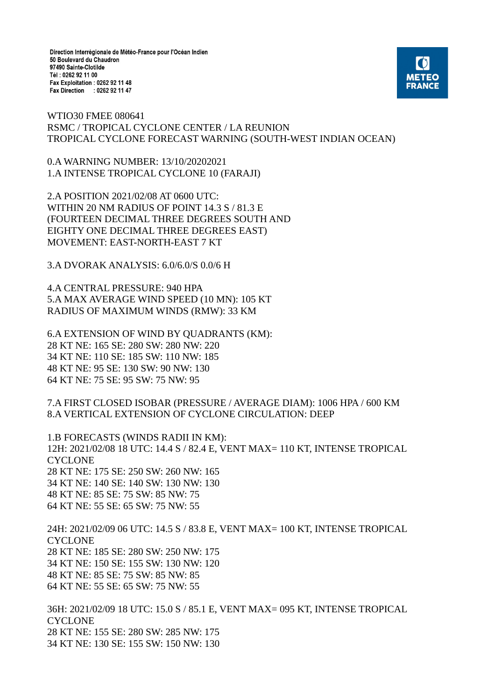Direction Interrégionale de Météo-France pour l'Océan Indien 50 Boulevard du Chaudron 97490 Sainte-Clotilde Tél: 0262 92 11 00 Fax Exploitation : 0262 92 11 48 Fax Direction : 0262 92 11 47



WTIO30 FMEE 080641 RSMC / TROPICAL CYCLONE CENTER / LA REUNION TROPICAL CYCLONE FORECAST WARNING (SOUTH-WEST INDIAN OCEAN)

0.A WARNING NUMBER: 13/10/20202021 1.A INTENSE TROPICAL CYCLONE 10 (FARAJI)

2.A POSITION 2021/02/08 AT 0600 UTC: WITHIN 20 NM RADIUS OF POINT 14.3 S / 81.3 E (FOURTEEN DECIMAL THREE DEGREES SOUTH AND EIGHTY ONE DECIMAL THREE DEGREES EAST) MOVEMENT: EAST-NORTH-EAST 7 KT

3.A DVORAK ANALYSIS: 6.0/6.0/S 0.0/6 H

4.A CENTRAL PRESSURE: 940 HPA 5.A MAX AVERAGE WIND SPEED (10 MN): 105 KT RADIUS OF MAXIMUM WINDS (RMW): 33 KM

6.A EXTENSION OF WIND BY QUADRANTS (KM): 28 KT NE: 165 SE: 280 SW: 280 NW: 220 34 KT NE: 110 SE: 185 SW: 110 NW: 185 48 KT NE: 95 SE: 130 SW: 90 NW: 130 64 KT NE: 75 SE: 95 SW: 75 NW: 95

7.A FIRST CLOSED ISOBAR (PRESSURE / AVERAGE DIAM): 1006 HPA / 600 KM 8.A VERTICAL EXTENSION OF CYCLONE CIRCULATION: DEEP

1.B FORECASTS (WINDS RADII IN KM): 12H: 2021/02/08 18 UTC: 14.4 S / 82.4 E, VENT MAX= 110 KT, INTENSE TROPICAL CYCLONE 28 KT NE: 175 SE: 250 SW: 260 NW: 165 34 KT NE: 140 SE: 140 SW: 130 NW: 130 48 KT NE: 85 SE: 75 SW: 85 NW: 75 64 KT NE: 55 SE: 65 SW: 75 NW: 55

24H: 2021/02/09 06 UTC: 14.5 S / 83.8 E, VENT MAX= 100 KT, INTENSE TROPICAL **CYCLONE** 28 KT NE: 185 SE: 280 SW: 250 NW: 175 34 KT NE: 150 SE: 155 SW: 130 NW: 120 48 KT NE: 85 SE: 75 SW: 85 NW: 85 64 KT NE: 55 SE: 65 SW: 75 NW: 55

36H: 2021/02/09 18 UTC: 15.0 S / 85.1 E, VENT MAX= 095 KT, INTENSE TROPICAL **CYCLONE** 28 KT NE: 155 SE: 280 SW: 285 NW: 175 34 KT NE: 130 SE: 155 SW: 150 NW: 130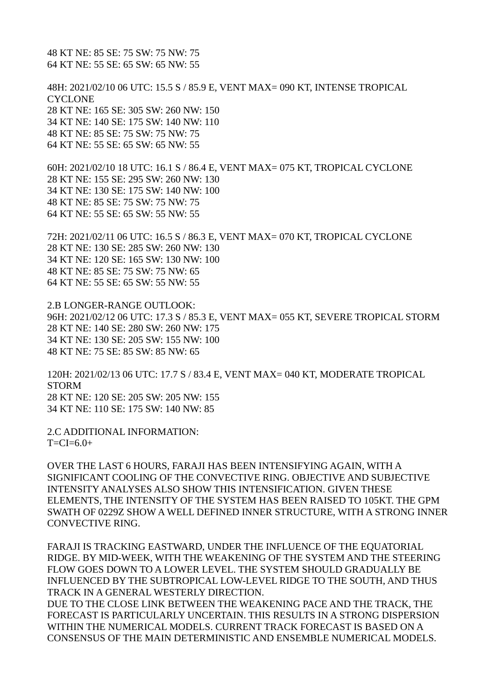48 KT NE: 85 SE: 75 SW: 75 NW: 75 64 KT NE: 55 SE: 65 SW: 65 NW: 55

48H: 2021/02/10 06 UTC: 15.5 S / 85.9 E, VENT MAX= 090 KT, INTENSE TROPICAL **CYCLONE** 28 KT NE: 165 SE: 305 SW: 260 NW: 150 34 KT NE: 140 SE: 175 SW: 140 NW: 110 48 KT NE: 85 SE: 75 SW: 75 NW: 75 64 KT NE: 55 SE: 65 SW: 65 NW: 55

60H: 2021/02/10 18 UTC: 16.1 S / 86.4 E, VENT MAX= 075 KT, TROPICAL CYCLONE 28 KT NE: 155 SE: 295 SW: 260 NW: 130 34 KT NE: 130 SE: 175 SW: 140 NW: 100 48 KT NE: 85 SE: 75 SW: 75 NW: 75 64 KT NE: 55 SE: 65 SW: 55 NW: 55

72H: 2021/02/11 06 UTC: 16.5 S / 86.3 E, VENT MAX= 070 KT, TROPICAL CYCLONE 28 KT NE: 130 SE: 285 SW: 260 NW: 130 34 KT NE: 120 SE: 165 SW: 130 NW: 100 48 KT NE: 85 SE: 75 SW: 75 NW: 65 64 KT NE: 55 SE: 65 SW: 55 NW: 55

2.B LONGER-RANGE OUTLOOK: 96H: 2021/02/12 06 UTC: 17.3 S / 85.3 E, VENT MAX= 055 KT, SEVERE TROPICAL STORM 28 KT NE: 140 SE: 280 SW: 260 NW: 175 34 KT NE: 130 SE: 205 SW: 155 NW: 100 48 KT NE: 75 SE: 85 SW: 85 NW: 65

120H: 2021/02/13 06 UTC: 17.7 S / 83.4 E, VENT MAX= 040 KT, MODERATE TROPICAL **STORM** 28 KT NE: 120 SE: 205 SW: 205 NW: 155 34 KT NE: 110 SE: 175 SW: 140 NW: 85

2.C ADDITIONAL INFORMATION:  $T=CI=6.0+$ 

OVER THE LAST 6 HOURS, FARAJI HAS BEEN INTENSIFYING AGAIN, WITH A SIGNIFICANT COOLING OF THE CONVECTIVE RING. OBJECTIVE AND SUBJECTIVE INTENSITY ANALYSES ALSO SHOW THIS INTENSIFICATION. GIVEN THESE ELEMENTS, THE INTENSITY OF THE SYSTEM HAS BEEN RAISED TO 105KT. THE GPM SWATH OF 0229Z SHOW A WELL DEFINED INNER STRUCTURE, WITH A STRONG INNER CONVECTIVE RING.

FARAJI IS TRACKING EASTWARD, UNDER THE INFLUENCE OF THE EQUATORIAL RIDGE. BY MID-WEEK, WITH THE WEAKENING OF THE SYSTEM AND THE STEERING FLOW GOES DOWN TO A LOWER LEVEL. THE SYSTEM SHOULD GRADUALLY BE INFLUENCED BY THE SUBTROPICAL LOW-LEVEL RIDGE TO THE SOUTH, AND THUS TRACK IN A GENERAL WESTERLY DIRECTION.

DUE TO THE CLOSE LINK BETWEEN THE WEAKENING PACE AND THE TRACK, THE FORECAST IS PARTICULARLY UNCERTAIN. THIS RESULTS IN A STRONG DISPERSION WITHIN THE NUMERICAL MODELS. CURRENT TRACK FORECAST IS BASED ON A CONSENSUS OF THE MAIN DETERMINISTIC AND ENSEMBLE NUMERICAL MODELS.